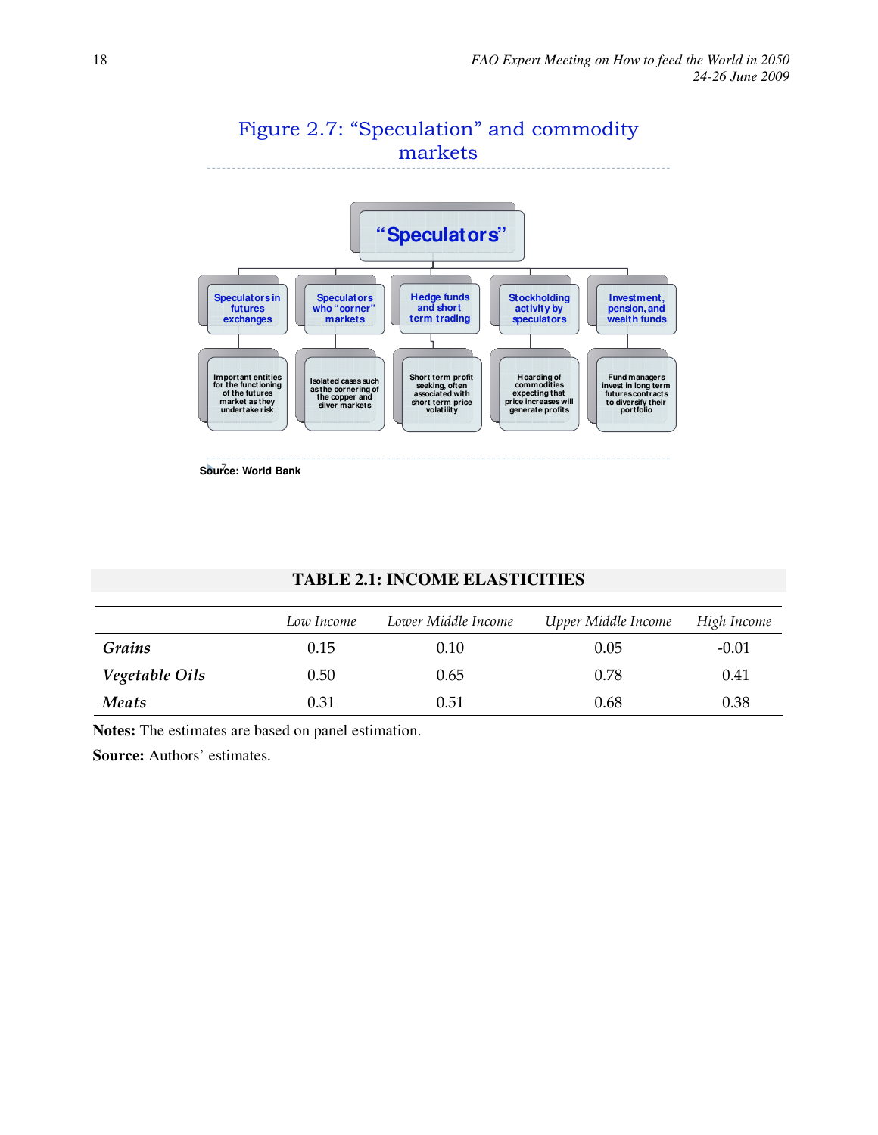

Figure 2.7: "Speculation" and commodity

|                | Low Income | Lower Middle Income | Upper Middle Income | High Income |
|----------------|------------|---------------------|---------------------|-------------|
| Grains         | 0.15       | 0.10                | 0.05                | $-0.01$     |
| Vegetable Oils | 0.50       | 0.65                | 0.78                | 0.41        |
| <b>Meats</b>   | 0.31       | 0.51                | 0.68                | 0.38        |

Notes: The estimates are based on panel estimation.

**Source:** Authors' estimates.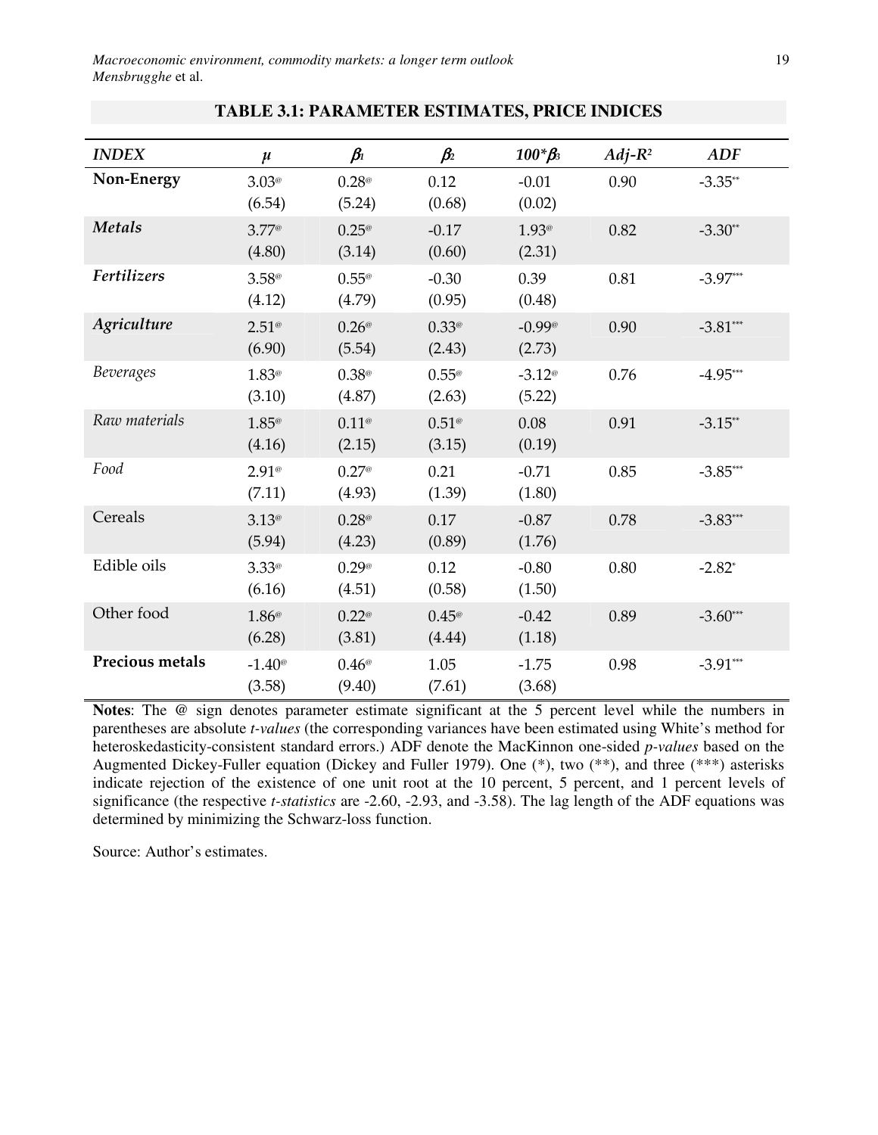| <b>INDEX</b>           | $\mu$                     | $\pmb{\beta}_1$          | $\beta$                  | $100^{\circ}$ B <sub>3</sub> | $Adj-R^2$ | <b>ADF</b> |
|------------------------|---------------------------|--------------------------|--------------------------|------------------------------|-----------|------------|
| Non-Energy             | $3.03^{\circ}$<br>(6.54)  | $0.28^\circ$<br>(5.24)   | 0.12<br>(0.68)           | $-0.01$<br>(0.02)            | 0.90      | $-3.35**$  |
| Metals                 | $3.77^{\circ}$<br>(4.80)  | $0.25^{\circ}$<br>(3.14) | $-0.17$<br>(0.60)        | $1.93^{\circ}$<br>(2.31)     | 0.82      | $-3.30**$  |
| Fertilizers            | $3.58^{\circ}$<br>(4.12)  | $0.55^\circ$<br>(4.79)   | $-0.30$<br>(0.95)        | 0.39<br>(0.48)               | 0.81      | $-3.97***$ |
| Agriculture            | $2.51^{\circ}$<br>(6.90)  | $0.26^\circ$<br>(5.54)   | $0.33^{\circ}$<br>(2.43) | $-0.99^{\circ}$<br>(2.73)    | 0.90      | $-3.81***$ |
| <b>Beverages</b>       | $1.83^{\circ}$<br>(3.10)  | $0.38^\circ$<br>(4.87)   | $0.55^{\circ}$<br>(2.63) | $-3.12^{\circ}$<br>(5.22)    | 0.76      | $-4.95***$ |
| Raw materials          | $1.85^{\circ}$<br>(4.16)  | $0.11^{\circ}$<br>(2.15) | $0.51^{\circ}$<br>(3.15) | 0.08<br>(0.19)               | 0.91      | $-3.15**$  |
| Food                   | $2.91^{\circ}$<br>(7.11)  | $0.27^\circ$<br>(4.93)   | 0.21<br>(1.39)           | $-0.71$<br>(1.80)            | 0.85      | $-3.85***$ |
| Cereals                | $3.13^{\circ}$<br>(5.94)  | $0.28^{\circ}$<br>(4.23) | 0.17<br>(0.89)           | $-0.87$<br>(1.76)            | 0.78      | $-3.83***$ |
| Edible oils            | $3.33^{\circ}$<br>(6.16)  | $0.29^{\circ}$<br>(4.51) | 0.12<br>(0.58)           | $-0.80$<br>(1.50)            | 0.80      | $-2.82*$   |
| Other food             | $1.86^{\circ}$<br>(6.28)  | $0.22^\circ$<br>(3.81)   | $0.45^\circ$<br>(4.44)   | $-0.42$<br>(1.18)            | 0.89      | $-3.60***$ |
| <b>Precious metals</b> | $-1.40^{\circ}$<br>(3.58) | $0.46^\circ$<br>(9.40)   | 1.05<br>(7.61)           | $-1.75$<br>(3.68)            | 0.98      | $-3.91***$ |

**TABLE 3.1: PARAMETER ESTIMATES, PRICE INDICES** 

**Notes**: The @ sign denotes parameter estimate significant at the 5 percent level while the numbers in parentheses are absolute *t-values* (the corresponding variances have been estimated using White's method for heteroskedasticity-consistent standard errors.) ADF denote the MacKinnon one-sided *p-values* based on the Augmented Dickey-Fuller equation (Dickey and Fuller 1979). One (\*), two (\*\*), and three (\*\*\*) asterisks indicate rejection of the existence of one unit root at the 10 percent, 5 percent, and 1 percent levels of significance (the respective *t-statistics* are -2.60, -2.93, and -3.58). The lag length of the ADF equations was determined by minimizing the Schwarz-loss function.

Source: Author's estimates.